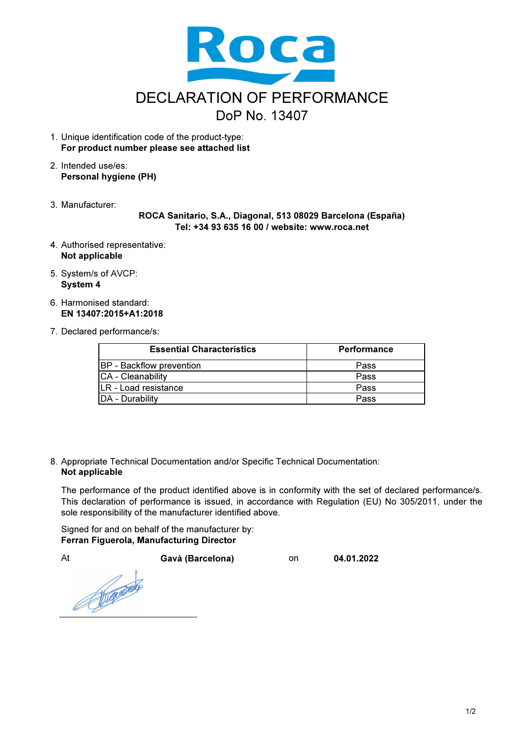

- 1. Unique identification code of the product-type: For product number please see attached list
- 2. Intended use/es: Personal hygiene (PH)
- 3. Manufacturer:

ROCA Sanitario, S.A., Diagonal, 513 08029 Barcelona (España) Tel: +34 93 635 16 00 / website: www.roca.net

- 4. Authorised representative: Not applicable
- 5. System/s of AVCP: System 4
- 6. Harmonised standard: EN 13407:2015+A1:2018
- 7. Declared performance/s:

| <b>Essential Characteristics</b> | <b>Performance</b> |
|----------------------------------|--------------------|
| <b>BP</b> - Backflow prevention  | Pass               |
| CA - Cleanability                | Pass               |
| <b>LR</b> - Load resistance      | Pass               |
| <b>IDA - Durability</b>          | Pass               |

8. Appropriate Technical Documentation and/or Specific Technical Documentation: Not applicable

The performance of the product identified above is in conformity with the set of declared performance/s. This declaration of performance is issued, in accordance with Regulation (EU) No 305/2011, under the sole responsibility of the manufacturer identified above.

Signed for and on behalf of the manufacturer by: Ferran Figuerola, Manufacturing Director

At Gavà (Barcelona) on 04.01.2022

Roger